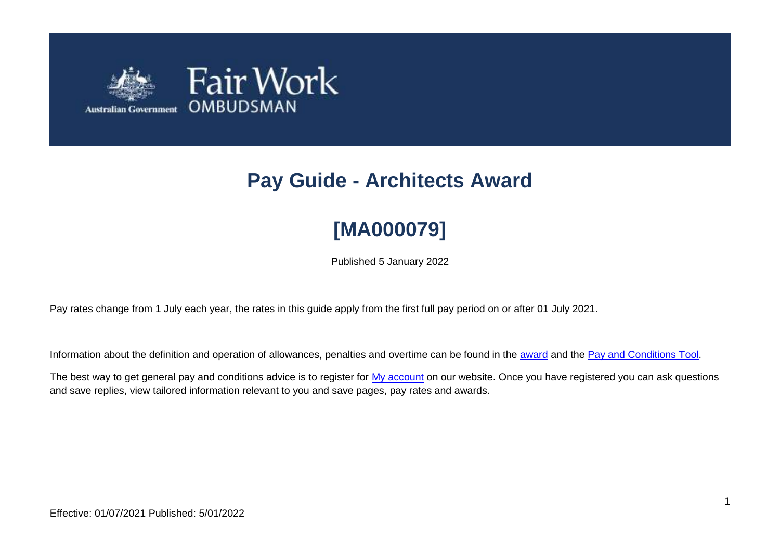

# **Pay Guide - Architects Award**

# **[MA000079]**

Published 5 January 2022

Pay rates change from 1 July each year, the rates in this guide apply from the first full pay period on or after 01 July 2021.

Information about the definition and operation of allowances, penalties and overtime can be found in the [award](https://www.fairwork.gov.au/awards-and-agreements/awards/list-of-awards) and the [Pay and Conditions Tool.](https://calculate.fairwork.gov.au/)

The best way to get general pay and conditions advice is to register for [My account](https://www.fairwork.gov.au/my-account/registerpage.aspx) on our website. Once you have registered you can ask questions and save replies, view tailored information relevant to you and save pages, pay rates and awards.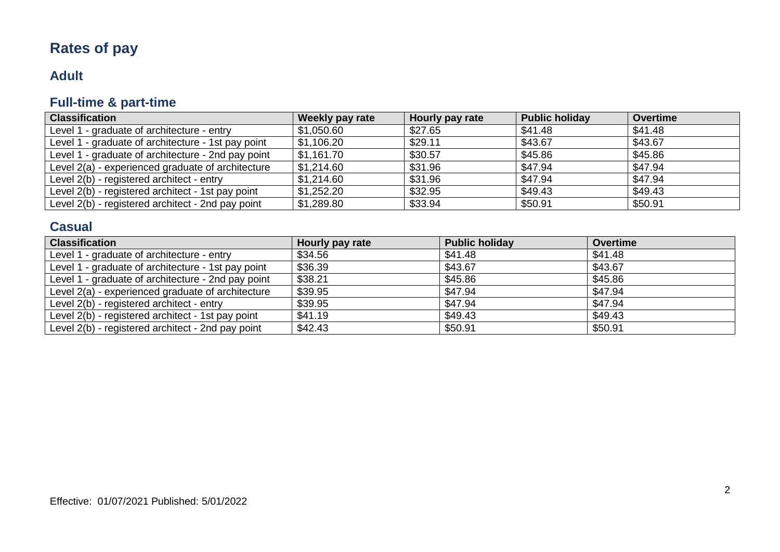# **Rates of pay**

# **Adult**

# **Full-time & part-time**

| <b>Classification</b>                              | Weekly pay rate | Hourly pay rate | <b>Public holiday</b> | <b>Overtime</b> |
|----------------------------------------------------|-----------------|-----------------|-----------------------|-----------------|
| Level 1 - graduate of architecture - entry         | \$1,050.60      | \$27.65         | \$41.48               | \$41.48         |
| Level 1 - graduate of architecture - 1st pay point | \$1,106.20      | \$29.11         | \$43.67               | \$43.67         |
| Level 1 - graduate of architecture - 2nd pay point | \$1,161.70      | \$30.57         | \$45.86               | \$45.86         |
| Level 2(a) - experienced graduate of architecture  | \$1,214.60      | \$31.96         | \$47.94               | \$47.94         |
| Level 2(b) - registered architect - entry          | \$1,214.60      | \$31.96         | \$47.94               | \$47.94         |
| Level 2(b) - registered architect - 1st pay point  | \$1,252.20      | \$32.95         | \$49.43               | \$49.43         |
| Level 2(b) - registered architect - 2nd pay point  | \$1,289.80      | \$33.94         | \$50.91               | \$50.91         |

# **Casual**

| <b>Classification</b>                              | Hourly pay rate | <b>Public holiday</b> | <b>Overtime</b> |
|----------------------------------------------------|-----------------|-----------------------|-----------------|
| Level 1 - graduate of architecture - entry         | \$34.56         | \$41.48               | \$41.48         |
| Level 1 - graduate of architecture - 1st pay point | \$36.39         | \$43.67               | \$43.67         |
| Level 1 - graduate of architecture - 2nd pay point | \$38.21         | \$45.86               | \$45.86         |
| Level 2(a) - experienced graduate of architecture  | \$39.95         | \$47.94               | \$47.94         |
| Level 2(b) - registered architect - entry          | \$39.95         | \$47.94               | \$47.94         |
| Level 2(b) - registered architect - 1st pay point  | \$41.19         | \$49.43               | \$49.43         |
| Level 2(b) - registered architect - 2nd pay point  | \$42.43         | \$50.91               | \$50.91         |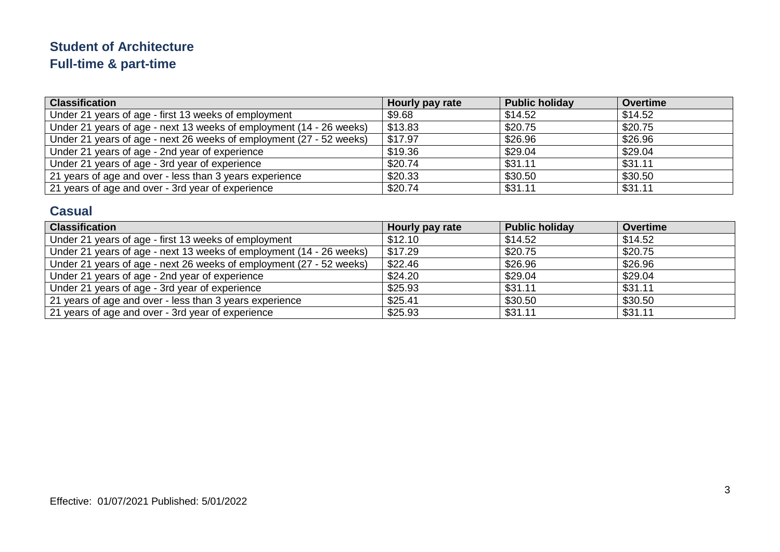# **Student of Architecture Full-time & part-time**

| <b>Classification</b>                                               | Hourly pay rate | <b>Public holiday</b> | <b>Overtime</b> |
|---------------------------------------------------------------------|-----------------|-----------------------|-----------------|
| Under 21 years of age - first 13 weeks of employment                | \$9.68          | \$14.52               | \$14.52         |
| Under 21 years of age - next 13 weeks of employment (14 - 26 weeks) | \$13.83         | \$20.75               | \$20.75         |
| Under 21 years of age - next 26 weeks of employment (27 - 52 weeks) | \$17.97         | \$26.96               | \$26.96         |
| Under 21 years of age - 2nd year of experience                      | \$19.36         | \$29.04               | \$29.04         |
| Under 21 years of age - 3rd year of experience                      | \$20.74         | \$31.11               | \$31.11         |
| 21 years of age and over - less than 3 years experience             | \$20.33         | \$30.50               | \$30.50         |
| 21 years of age and over - 3rd year of experience                   | \$20.74         | \$31.11               | \$31.11         |

### **Casual**

| <b>Classification</b>                                               | Hourly pay rate | <b>Public holiday</b> | <b>Overtime</b> |
|---------------------------------------------------------------------|-----------------|-----------------------|-----------------|
| Under 21 years of age - first 13 weeks of employment                | \$12.10         | \$14.52               | \$14.52         |
| Under 21 years of age - next 13 weeks of employment (14 - 26 weeks) | \$17.29         | \$20.75               | \$20.75         |
| Under 21 years of age - next 26 weeks of employment (27 - 52 weeks) | \$22.46         | \$26.96               | \$26.96         |
| Under 21 years of age - 2nd year of experience                      | \$24.20         | \$29.04               | \$29.04         |
| Under 21 years of age - 3rd year of experience                      | \$25.93         | \$31.11               | \$31.11         |
| 21 years of age and over - less than 3 years experience             | \$25.41         | \$30.50               | \$30.50         |
| 21 years of age and over - 3rd year of experience                   | \$25.93         | \$31.11               | \$31.11         |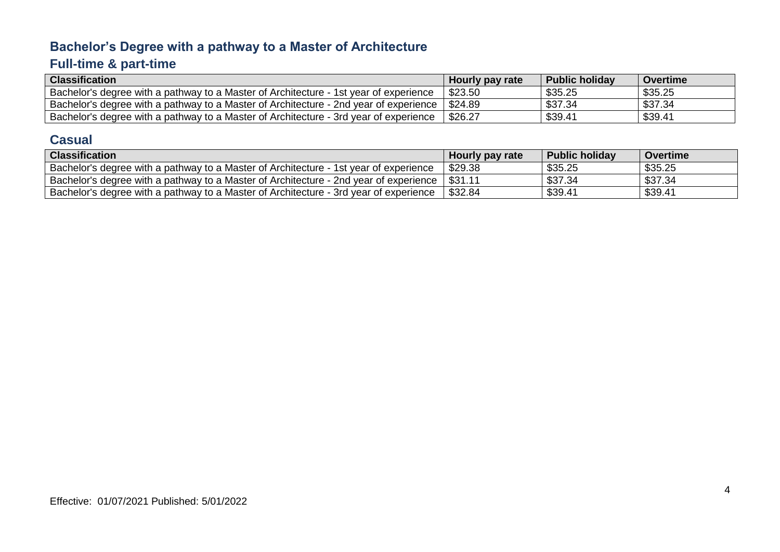# **Bachelor's Degree with a pathway to a Master of Architecture**

# **Full-time & part-time**

| <b>Classification</b>                                                                 | Hourly pay rate | <b>Public holiday</b> | Overtime |
|---------------------------------------------------------------------------------------|-----------------|-----------------------|----------|
| Bachelor's degree with a pathway to a Master of Architecture - 1st year of experience | \$23.50         | \$35.25               | \$35.25  |
| Bachelor's degree with a pathway to a Master of Architecture - 2nd year of experience | \$24.89         | \$37.34               | \$37.34  |
| Bachelor's degree with a pathway to a Master of Architecture - 3rd year of experience | \$26.27         | \$39.41               | \$39.41  |

#### **Casual**

| <b>Classification</b>                                                                           | Hourly pay rate | <b>Public holiday</b> | <b>Overtime</b> |
|-------------------------------------------------------------------------------------------------|-----------------|-----------------------|-----------------|
| Bachelor's degree with a pathway to a Master of Architecture - 1st year of experience           | \$29.38         | \$35.25               | \$35.25         |
| Bachelor's degree with a pathway to a Master of Architecture - 2nd year of experience   \$31.11 |                 | \$37.34               | \$37.34         |
| Bachelor's degree with a pathway to a Master of Architecture - 3rd vear of experience           | \$32.84         | \$39.41               | \$39.41         |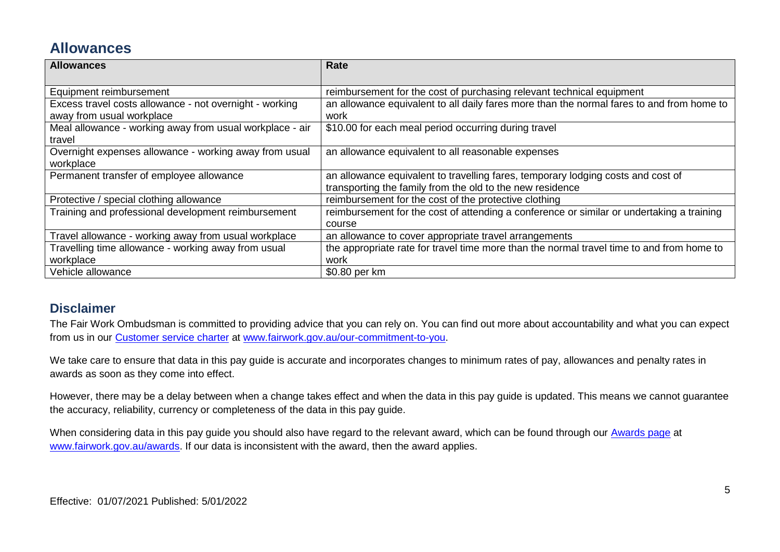# **Allowances**

| <b>Allowances</b>                                        | Rate                                                                                      |
|----------------------------------------------------------|-------------------------------------------------------------------------------------------|
|                                                          |                                                                                           |
| Equipment reimbursement                                  | reimbursement for the cost of purchasing relevant technical equipment                     |
| Excess travel costs allowance - not overnight - working  | an allowance equivalent to all daily fares more than the normal fares to and from home to |
| away from usual workplace                                | work                                                                                      |
| Meal allowance - working away from usual workplace - air | \$10.00 for each meal period occurring during travel                                      |
| travel                                                   |                                                                                           |
| Overnight expenses allowance - working away from usual   | an allowance equivalent to all reasonable expenses                                        |
| workplace                                                |                                                                                           |
| Permanent transfer of employee allowance                 | an allowance equivalent to travelling fares, temporary lodging costs and cost of          |
|                                                          | transporting the family from the old to the new residence                                 |
| Protective / special clothing allowance                  | reimbursement for the cost of the protective clothing                                     |
| Training and professional development reimbursement      | reimbursement for the cost of attending a conference or similar or undertaking a training |
|                                                          | course                                                                                    |
| Travel allowance - working away from usual workplace     | an allowance to cover appropriate travel arrangements                                     |
| Travelling time allowance - working away from usual      | the appropriate rate for travel time more than the normal travel time to and from home to |
| workplace                                                | work                                                                                      |
| Vehicle allowance                                        | \$0.80 per km                                                                             |

#### **Disclaimer**

The Fair Work Ombudsman is committed to providing advice that you can rely on. You can find out more about accountability and what you can expect from us in our Customer [service charter](https://www.fairwork.gov.au/about-us/our-role-and-purpose/our-priorities/our-commitment-to-you#customer-service-charter) at [www.fairwork.gov.au/our-commitment-to-you.](http://www.fairwork.gov.au/our-commitment-to-you)

We take care to ensure that data in this pay guide is accurate and incorporates changes to minimum rates of pay, allowances and penalty rates in awards as soon as they come into effect.

However, there may be a delay between when a change takes effect and when the data in this pay guide is updated. This means we cannot guarantee the accuracy, reliability, currency or completeness of the data in this pay guide.

When considering data in this pay guide you should also have regard to the relevant award, which can be found through our [Awards page](https://www.fairwork.gov.au/awards-and-agreements/awards) at [www.fairwork.gov.au/awards.](http://www.fairwork.gov.au/awards) If our data is inconsistent with the award, then the award applies.